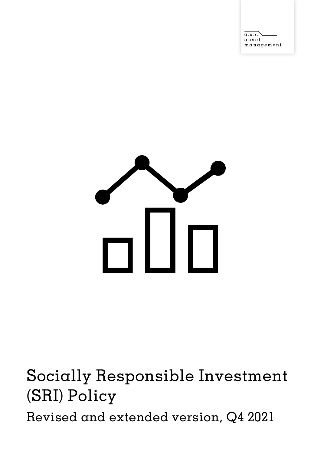$\alpha.s.r.$  $\alpha$  s s  $\rm e$  t  $m$ anagement



Socially Responsible Investment (SRI) Policy Revised and extended version, Q4 2021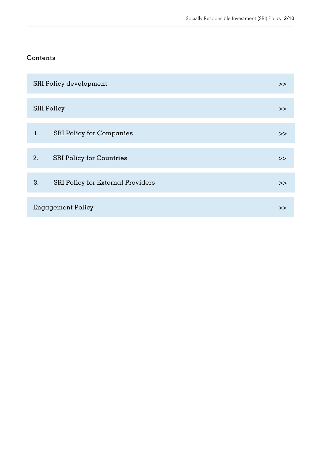### <span id="page-1-0"></span>Contents

| <b>SRI Policy development</b> |                                   | >> |
|-------------------------------|-----------------------------------|----|
|                               | <b>SRI</b> Policy                 | >  |
| 1.                            | <b>SRI Policy for Companies</b>   | >> |
| 2.                            | <b>SRI Policy for Countries</b>   | >> |
| 3.                            | SRI Policy for External Providers | >> |
| Engagement Policy             |                                   | >> |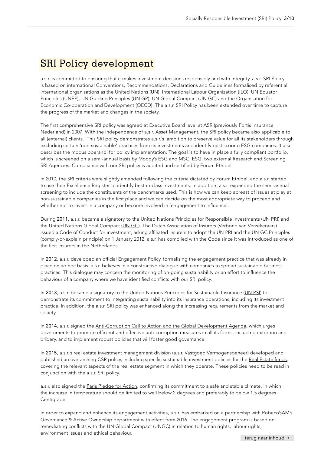### <span id="page-2-0"></span>SRI Policy development

a.s.r. is committed to ensuring that it makes investment decisions responsibly and with integrity. a.s.r. SRI Policy is based on international Conventions, Recommendations, Declarations and Guidelines formalised by referential international organisations as the United Nations (UN), International Labour Organization (ILO), UN Equator Principles (UNEP), UN Guiding Principles (UN GP), UN Global Compact (UN GC) and the Organisation for Economic Co-operation and Development (OECD). The a.s.r. SRI Policy has been extended over time to capture the progress of the market and changes in the society.

The first comprehensive SRI policy was agreed at Executive Board level at ASR (previously Fortis Insurance Nederland) in 2007. With the independence of a.s.r. Asset Management, the SRI policy became also applicable to all (external) clients. This SRI policy demonstrates a.s.r.'s ambition to preserve value for all its stakeholders through excluding certain 'non-sustainable' practices from its investments and identify best scoring ESG companies. It also describes the modus operandi for policy implementation. The goal is to have in place a fully compliant portfolio, which is screened on a semi-annual basis by Moody's ESG and MSCI ESG, two external Research and Screening SRI Agencies. Compliance with our SRI policy is audited and certified by Forum Ethibel.

In 2010, the SRI criteria were slightly amended following the criteria dictated by Forum Ethibel, and a.s.r. started to use their Excellence Register to identify best-in-class investments. In addition, a.s.r. expanded the semi-annual screening to include the constituents of the benchmarks used. This is how we can keep abreast of issues at play at non-sustainable companies in the first place and we can decide on the most appropriate way to proceed and whether not to invest in a company or become involved in 'engagement to influence'.

During 2011, a.s.r. became a signatory to the United Nations Principles for Responsible Investments ([UN PRI](https://www.unpri.org/)) and the United Nations Global Compact [\(UN GC\)](https://unglobalcompact.org/). The Dutch Association of Insurers (Verbond van Verzekeraars) issued a Code of Conduct for investment, asking affiliated insurers to adopt the UN PRI and the UN GC Principles (comply-or-explain principle) on 1 January 2012. a.s.r. has complied with the Code since it was introduced as one of the first insurers in the Netherlands.

In 2012, a.s.r. developed an official Engagement Policy, formalising the engagement practice that was already in place on ad hoc basis. a.s.r. believes in a constructive dialogue with companies to spread sustainable business practices. This dialogue may concern the monitoring of on-going sustainability or an effort to influence the behaviour of a company where we have identified conflicts with our SRI policy.

In 2013, a.s.r. became a signatory to the United Nations Principles for Sustainable Insurance ([UN PSI\)](https://www.unepfi.org/psi/) to demonstrate its commitment to integrating sustainability into its insurance operations, including its investment practice. In addition, the a.s.r. SRI policy was enhanced along the increasing requirements from the market and society.

In 2014, a.s.r. signed the [Anti-Corruption Call to Action and the Global Development Agenda,](https://www.unglobalcompact.org/take-action/action/anti-corruption-call-to-action) which urges governments to promote efficient and effective anti-corruption measures in all its forms, including extortion and bribery, and to implement robust policies that will foster good governance.

In 2015, a.s.r.'s real estate investment management division (a.s.r. Vastgoed Vermogensbeheer) developed and published an overarching CSR policy, including specific sustainable investment policies for the [Real Estate funds](https://en.asrrealestate.nl/investments), covering the relevant aspects of the real estate segment in which they operate. These policies need to be read in conjunction with the a.s.r. SRI policy.

a.s.r. also signed the [Paris Pledge for Action](http://parispledgeforaction.org/), confirming its commitment to a safe and stable climate, in which the increase in temperature should be limited to well below 2 degrees and preferably to below 1.5 degrees Centigrade.

In order to expand and enhance its engagement activities, a.s.r. has embarked on a partnership with RobecoSAM's Governance & Active Ownership department with effect from 2016. The engagement program is based on remediating conflicts with the UN Global Compact (UNGC) in relation to human rights, labour rights, environment issues and ethical behaviour.

[terug naar inhoud](#page-1-0) >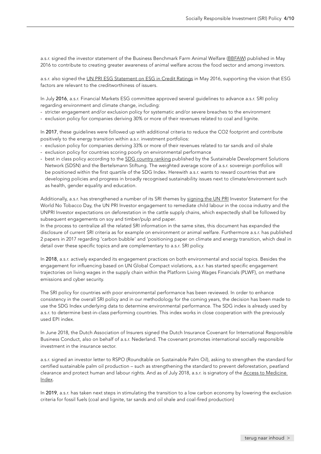a.s.r. signed the investor statement of the Business Benchmark Farm Animal Welfare ([BBFAW\)](https://www.bbfaw.com/) published in May 2016 to contribute to creating greater awareness of animal welfare across the food sector and among investors.

a.s.r. also signed the [UN PRI ESG Statement on ESG in Credit Ratings](https://www.unpri.org/credit-risk-and-ratings/statement-on-esg-in-credit-risk-and-ratings-available-in-different-languages/77.article) in May 2016, supporting the vision that ESG factors are relevant to the creditworthiness of issuers.

In July 2016, a.s.r. Financial Markets ESG committee approved several guidelines to advance a.s.r. SRI policy regarding environment and climate change, including:

- stricter engagement and/or exclusion policy for systematic and/or severe breaches to the environment
- exclusion policy for companies deriving 30% or more of their revenues related to coal and lignite.

In 2017, these guidelines were followed up with additional criteria to reduce the CO2 footprint and contribute positively to the energy transition within a.s.r. investment portfolios:

- exclusion policy for companies deriving 33% or more of their revenues related to tar sands and oil shale
- exclusion policy for countries scoring poorly on environmental performance
- best in class policy according to the [SDG country ranking](https://www.sdgindex.org/) published by the Sustainable Development Solutions Network (SDSN) and the Bertelsmann Stiftung. The weighted average score of a.s.r. sovereign portfolios will be positioned within the first quartile of the SDG Index. Herewith a.s.r. wants to reward countries that are developing policies and progress in broadly recognised sustainability issues next to climate/environment such as health, gender equality and education.

Additionally, a.s.r. has strengthened a number of its SRI themes by [signing the UN PRI](https://collaborate.unpri.org/) Investor Statement for the World No Tobacco Day, the UN PRI Investor engagement to remediate child labour in the cocoa industry and the UNPRI Investor expectations on deforestation in the cattle supply chains, which expectedly shall be followed by subsequent engagements on soy and timber/pulp and paper.

In the process to centralize all the related SRI information in the same sites, this document has expanded the disclosure of current SRI criteria as for example on environment or animal welfare. Furthermore a.s.r. has published 2 papers in 2017 regarding 'carbon bubble' and 'positioning paper on climate and energy transition, which deal in detail over these specific topics and are complementary to a.s.r. SRI policy.

In 2018, a.s.r. actively expanded its engagement practices on both environmental and social topics. Besides the engagement for influencing based on UN Global Compact violations, a.s.r. has started specific engagement trajectories on living wages in the supply chain within the Platform Living Wages Financials (PLWF), on methane emissions and cyber security.

The SRI policy for countries with poor environmental performance has been reviewed. In order to enhance consistency in the overall SRI policy and in our methodology for the coming years, the decision has been made to use the SDG Index underlying data to determine environmental performance. The SDG index is already used by a.s.r. to determine best-in-class performing countries. This index works in close cooperation with the previously used EPI index.

In June 2018, the Dutch Association of Insurers signed the Dutch Insurance Covenant for International Responsible Business Conduct, also on behalf of a.s.r. Nederland. The covenant promotes international socially responsible investment in the insurance sector.

a.s.r. signed an investor letter to RSPO (Roundtable on Sustainable Palm Oil), asking to strengthen the standard for certified sustainable palm oil production – such as strengthening the standard to prevent deforestation, peatland clearance and protect human and labour rights. And as of July 2018, a.s.r. is signatory of the Access to Medicine [Index.](https://accesstomedicinefoundation.org/access-to-medicine-index)

In 2019, a.s.r. has taken next steps in stimulating the transition to a low carbon economy by lowering the exclusion criteria for fossil fuels (coal and lignite, tar sands and oil shale and coal-fired production)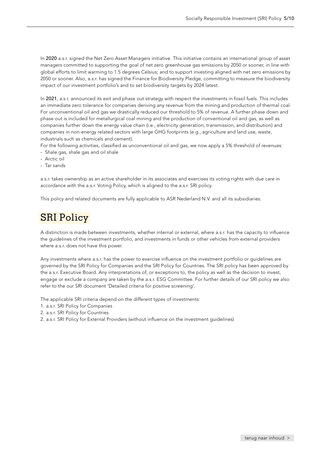<span id="page-4-0"></span>In 2020 a.s.r. signed the Net Zero Asset Managers initiative. This initiative contains an international group of asset managers committed to supporting the goal of net zero greenhouse gas emissions by 2050 or sooner, in line with global efforts to limit warming to 1.5 degrees Celsius; and to support investing aligned with net zero emissions by 2050 or sooner. Also, a.s.r. has signed the Finance for Biodiversity Pledge, committing to measure the biodiversity impact of our investment portfolio's and to set biodiversity targets by 2024 latest.

In 2021, a.s.r. announced its exit and phase out strategy with respect the investments in fossil fuels. This includes an immediate zero tolerance for companies deriving any revenue from the mining and production of thermal coal. For unconventional oil and gas we drastically reduced our threshold to 5% of revenue. A further phase down and phase out is included for metallurgical coal mining and the production of conventional oil and gas, as well as companies further down the energy value chain (i.e., electricity generation, transmission, and distribution) and companies in non-energy related sectors with large GHG footprints (e.g., agriculture and land use, waste, industrials such as chemicals and cement).

For the following activities, classified as unconventional oil and gas, we now apply a 5% threshold of revenues:

- Shale gas, shale gas and oil shale
- Arctic oil
- Tar sands

a.s.r. takes ownership as an active shareholder in its associates and exercises its voting rights with due care in accordance with the a.s.r. Voting Policy, which is aligned to the a.s.r. SRI policy.

This policy and related documents are fully applicable to ASR Nederland N.V. and all its subsidiaries.

# SRI Policy

A distinction is made between investments, whether internal or external, where a.s.r. has the capacity to influence the guidelines of the investment portfolio, and investments in funds or other vehicles from external providers where a.s.r. does not have this power.

Any investments where a.s.r. has the power to exercise influence on the investment portfolio or guidelines are governed by the SRI Policy for Companies and the SRI Policy for Countries. The SRI policy has been approved by the a.s.r. Executive Board. Any interpretations of, or exceptions to, the policy as well as the decision to invest, engage or exclude a company are taken by the a.s.r. ESG Committee. For further details of our SRI policy we also refer to the our SRI document 'Detailed criteria for positive screening'.

The applicable SRI criteria depend on the different types of investments:

- 1. a.s.r. SRI Policy for Companies
- 2. a.s.r. SRI Policy for Countries
- 2. a.s.r. SRI Policy for External Providers (without influence on the investment guidelines)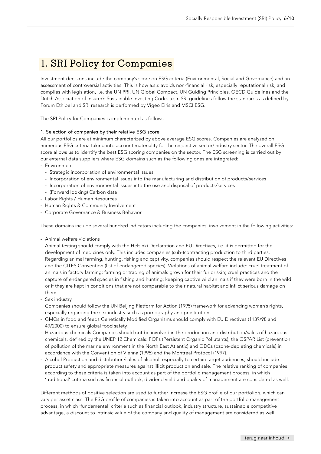## <span id="page-5-0"></span>1. SRI Policy for Companies

Investment decisions include the company's score on ESG criteria (Environmental, Social and Governance) and an assessment of controversial activities. This is how a.s.r. avoids non-financial risk, especially reputational risk, and complies with legislation, i.e. the UN PRI, UN Global Compact, UN Guiding Principles, OECD Guidelines and the Dutch Association of Insurer's Sustainable Investing Code. a.s.r. SRI guidelines follow the standards as defined by Forum Ethibel and SRI research is performed by Vigeo Eiris and MSCI ESG.

The SRI Policy for Companies is implemented as follows:

### 1. Selection of companies by their relative ESG score

All our portfolios are at minimum characterized by above average ESG scores. Companies are analyzed on numerous ESG criteria taking into account materiality for the respective sector/industry sector. The overall ESG score allows us to identify the best ESG scoring companies on the sector. The ESG screening is carried out by our external data suppliers where ESG domains such as the following ones are integrated:

- Environment
	- Strategic incorporation of environmental issues
	- Incorporation of environmental issues into the manufacturing and distribution of products/services
- Incorporation of environmental issues into the use and disposal of products/services
- (Forward looking) Carbon data
- Labor Rights / Human Resources
- Human Rights & Community Involvement
- Corporate Governance & Business Behavior

These domains include several hundred indicators including the companies' involvement in the following activities:

- Animal welfare violations

Animal testing should comply with the Helsinki Declaration and EU Directives, i.e. it is permitted for the development of medicines only. This includes companies (sub-)contracting production to third parties. Regarding animal farming, hunting, fishing and captivity, companies should respect the relevant EU Directives and the CITES Convention (list of endangered species). Violations of animal welfare include: cruel treatment of animals in factory farming; farming or trading of animals grown for their fur or skin; cruel practices and the capture of endangered species in fishing and hunting; keeping captive wild animals if they were born in the wild or if they are kept in conditions that are not comparable to their natural habitat and inflict serious damage on them.

- Sex industry

Companies should follow the UN Beijing Platform for Action (1995) framework for advancing women's rights, especially regarding the sex industry such as pornography and prostitution.

- GMOs in food and feeds Genetically Modified Organisms should comply with EU Directives (1139/98 and 49/2000) to ensure global food safety.
- Hazardous chemicals Companies should not be involved in the production and distribution/sales of hazardous chemicals, defined by the UNEP 12 Chemicals: POPs (Persistent Organic Pollutants), the OSPAR List (prevention of pollution of the marine environment in the North East Atlantic) and ODCs (ozone-depleting chemicals) in accordance with the Convention of Vienna (1995) and the Montreal Protocol (1997).
- Alcohol Production and distribution/sales of alcohol, especially to certain target audiences, should include product safety and appropriate measures against illicit production and sale. The relative ranking of companies according to these criteria is taken into account as part of the portfolio management process, in which 'traditional' criteria such as financial outlook, dividend yield and quality of management are considered as well.

Different methods of positive selection are used to further increase the ESG profile of our portfolio's, which can vary per asset class. The ESG profile of companies is taken into account as part of the portfolio management process, in which 'fundamental' criteria such as financial outlook, industry structure, sustainable competitive advantage, a discount to intrinsic value of the company and quality of management are considered as well.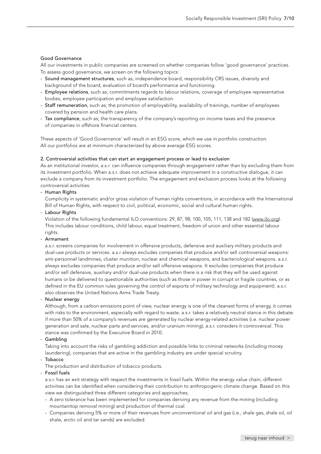### Good Governance

All our investments in public companies are screened on whether companies follow 'good governance' practices. To assess good governance, we screen on the following topics:

- Sound management structures, such as; independence board, responsibility CRS issues, diversity and background of the board, evaluation of board's performance and functioning.
- Employee relations, such as; commitments regards to labour relations, coverage of employee representative bodies, employee participation and employee satisfaction.
- Staff remuneration, such as; the promotion of employability, availability of trainings, number of employees covered by pension and health care plans.
- Tax compliance, such as; the transparency of the company's reporting on income taxes and the presence of companies in offshore financial centers.

These aspects of 'Good Governance' will result in an ESG score, which we use in portfolio construction. All our portfolios are at minimum characterized by above average ESG scores.

### 2. Controversial activities that can start an engagement process or lead to exclusion

As an institutional investor, a.s.r. can influence companies through engagement rather than by excluding them from its investment portfolio. When a.s.r. does not achieve adequate improvement in a constructive dialogue, it can exclude a company from its investment portfolio. The engagement and exclusion process looks at the following controversial activities:

### - Human Rights

Complicity in systematic and/or gross violation of human rights conventions, in accordance with the International Bill of Human Rights, with respect to civil, political, economic, social and cultural human rights.

- Labour Rights

Violation of the following fundamental ILO conventions: 29, 87, 98, 100, 105, 111, 138 and 182 [\(www.ilo.org](https://www.ilo.org/global/lang--en/index.htm)). This includes labour conditions, child labour, equal treatment, freedom of union and other essential labour rights.

### - Armament

a.s.r. screens companies for involvement in offensive products, defensive and auxiliary military products and dual-use products or services. a.s.r always excludes companies that produce and/or sell controversial weapons: anti-personnel landmines, cluster munition, nuclear and chemical weapons, and bacteriological weapons. a.s.r. always excludes companies that produce and/or sell offensive weapons. It excludes companies that produce and/or sell defensive, auxiliary and/or dual-use products when there is a risk that they will be used against humans or be delivered to questionable authorities (such as those in power in corrupt or fragile countries, or as defined in the EU common rules governing the control of exports of military technology and equipment). a.s.r. also observes the United Nations Arms Trade Treaty.

### Nuclear energy

Although, from a carbon emissions point of view, nuclear energy is one of the cleanest forms of energy, it comes with risks to the environment, especially with regard to waste. a.s.r. takes a relatively neutral stance in this debate: if more than 50% of a company's revenues are generated by nuclear energy-related activities (i.e. nuclear power generation and sale, nuclear parts and services, and/or uranium mining), a.s.r. considers it controversial. This stance was confirmed by the Executive Board in 2010.

### - Gambling

Taking into account the risks of gambling addiction and possible links to criminal networks (including money laundering), companies that are active in the gambling industry are under special scrutiny. - Tobacco

The production and distribution of tobacco products.

### - Fossil fuels

a.s.r. has an exit strategy with respect the investments in fossil fuels. Within the energy value chain, different activities can be identified when considering their contribution to anthropogenic climate change. Based on this view we distinguished three different categories and approaches;

- A zero tolerance has been implemented for companies deriving any revenue from the mining (including mountaintop removal mining) and production of thermal coal.
- Companies deriving 5% or more of their revenues from unconventional oil and gas (i.e., shale gas, shale oil, oil shale, arctic oil and tar sands) are excluded.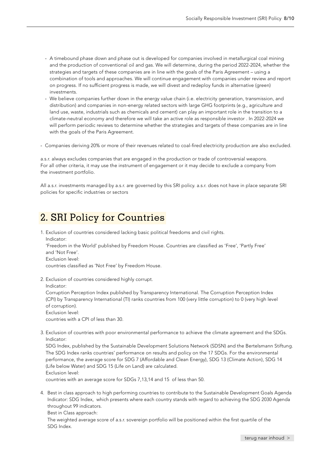- <span id="page-7-0"></span>- A timebound phase down and phase out is developed for companies involved in metallurgical coal mining and the production of conventional oil and gas. We will determine, during the period 2022-2024, whether the strategies and targets of these companies are in line with the goals of the Paris Agreement – using a combination of tools and approaches. We will continue engagement with companies under review and report on progress. If no sufficient progress is made, we will divest and redeploy funds in alternative (green) investments.
- We believe companies further down in the energy value chain (i.e. electricity generation, transmission, and distribution) and companies in non-energy related sectors with large GHG footprints (e.g., agriculture and land use, waste, industrials such as chemicals and cement) can play an important role in the transition to a climate-neutral economy and therefore we will take an active role as responsible investor . In 2022-2024 we will perform periodic reviews to determine whether the strategies and targets of these companies are in line with the goals of the Paris Agreement.
- Companies deriving 20% or more of their revenues related to coal-fired electricity production are also excluded.

a.s.r. always excludes companies that are engaged in the production or trade of controversial weapons. For all other criteria, it may use the instrument of engagement or it may decide to exclude a company from the investment portfolio.

All a.s.r. investments managed by a.s.r. are governed by this SRI policy. a.s.r. does not have in place separate SRI policies for specific industries or sectors

### 2. SRI Policy for Countries

1. Exclusion of countries considered lacking basic political freedoms and civil rights. Indicator: 'Freedom in the World' published by Freedom House. Countries are classified as 'Free', 'Partly Free' and 'Not Free'. Exclusion level:

- countries classified as 'Not Free' by Freedom House.
- 2. Exclusion of countries considered highly corrupt.

Indicator:

Corruption Perception Index published by Transparency International. The Corruption Perception Index (CPI) by Transparency International (TI) ranks countries from 100 (very little corruption) to 0 (very high level of corruption).

Exclusion level:

countries with a CPI of less than 30.

3. Exclusion of countries with poor environmental performance to achieve the climate agreement and the SDGs. Indicator:

SDG Index, published by the Sustainable Development Solutions Network (SDSN) and the Bertelsmann Stiftung. The SDG Index ranks countries' performance on results and policy on the 17 SDGs. For the environmental performance, the average score for SDG 7 (Affordable and Clean Energy), SDG 13 (Climate Action), SDG 14 (Life below Water) and SDG 15 (Life on Land) are calculated. Exclusion level:

countries with an average score for SDGs 7,13,14 and 15 of less than 50.

4. Best in class approach to high performing countries to contribute to the Sustainable Development Goals Agenda Indicator: SDG Index, which presents where each country stands with regard to achieving the SDG 2030 Agenda throughout 99 indicators.

Best in Class approach:

The weighted average score of a.s.r. sovereign portfolio will be positioned within the first quartile of the SDG Index.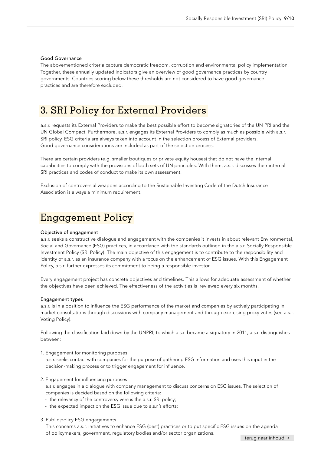### <span id="page-8-0"></span>Good Governance

The abovementioned criteria capture democratic freedom, corruption and environmental policy implementation. Together, these annually updated indicators give an overview of good governance practices by country governments. Countries scoring below these thresholds are not considered to have good governance practices and are therefore excluded.

### 3. SRI Policy for External Providers

a.s.r. requests its External Providers to make the best possible effort to become signatories of the UN PRI and the UN Global Compact. Furthermore, a.s.r. engages its External Providers to comply as much as possible with a.s.r. SRI policy. ESG criteria are always taken into account in the selection process of External providers. Good governance considerations are included as part of the selection process.

There are certain providers (e.g. smaller boutiques or private equity houses) that do not have the internal capabilities to comply with the provisions of both sets of UN principles. With them, a.s.r. discusses their internal SRI practices and codes of conduct to make its own assessment.

Exclusion of controversial weapons according to the Sustainable Investing Code of the Dutch Insurance Association is always a minimum requirement.

### Engagement Policy

### Objective of engagement

a.s.r. seeks a constructive dialogue and engagement with the companies it invests in about relevant Environmental, Social and Governance (ESG) practices, in accordance with the standards outlined in the a.s.r. Socially Responsible Investment Policy (SRI Policy). The main objective of this engagement is to contribute to the responsibility and identity of a.s.r. as an insurance company with a focus on the enhancement of ESG issues. With this Engagement Policy, a.s.r. further expresses its commitment to being a responsible investor.

Every engagement project has concrete objectives and timelines. This allows for adequate assessment of whether the objectives have been achieved. The effectiveness of the activities is reviewed every six months.

### Engagement types

a.s.r. is in a position to influence the ESG performance of the market and companies by actively participating in market consultations through discussions with company management and through exercising proxy votes (see a.s.r. Voting Policy).

Following the classification laid down by the UNPRI, to which a.s.r. became a signatory in 2011, a.s.r. distinguishes between:

1. Engagement for monitoring purposes

a.s.r. seeks contact with companies for the purpose of gathering ESG information and uses this input in the decision-making process or to trigger engagement for influence.

- 2. Engagement for influencing purposes
	- a.s.r. engages in a dialogue with company management to discuss concerns on ESG issues. The selection of companies is decided based on the following criteria:
	- the relevancy of the controversy versus the a.s.r. SRI policy;
	- the expected impact on the ESG issue due to a.s.r.'s efforts;
- 3. Public policy ESG engagements

This concerns a.s.r. initiatives to enhance ESG (best) practices or to put specific ESG issues on the agenda of policymakers, government, regulatory bodies and/or sector organizations.

[terug naar inhoud](#page-1-0) >